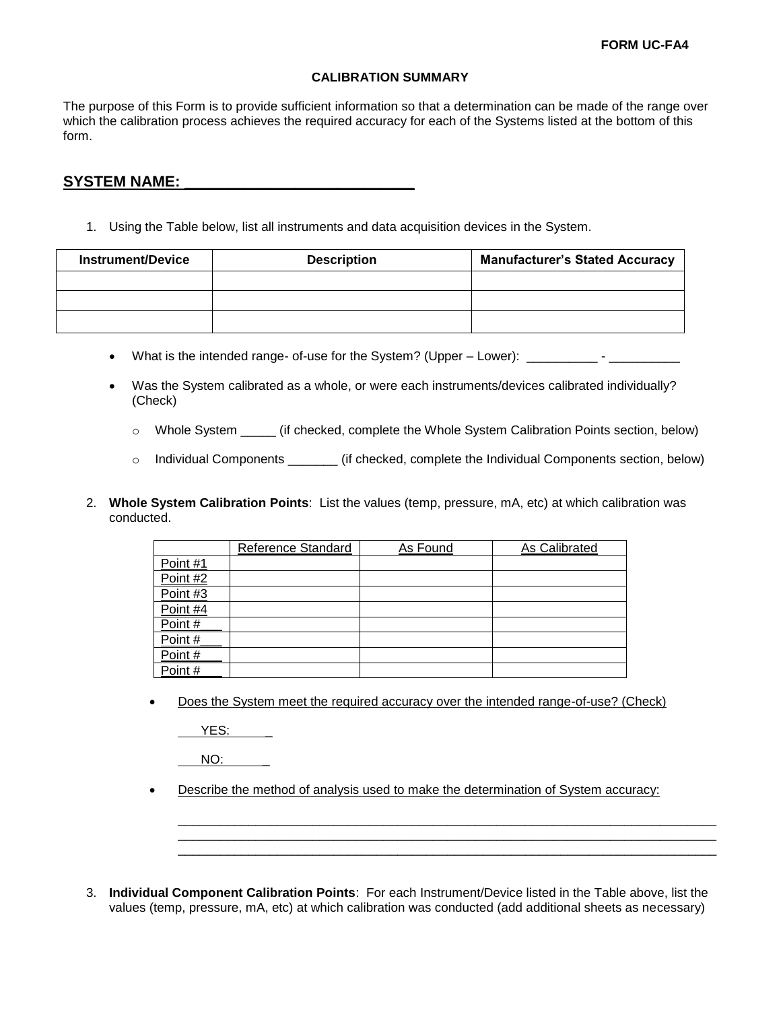## **CALIBRATION SUMMARY**

The purpose of this Form is to provide sufficient information so that a determination can be made of the range over which the calibration process achieves the required accuracy for each of the Systems listed at the bottom of this form.

## **SYSTEM NAME: \_\_\_\_\_\_\_\_\_\_\_\_\_\_\_\_\_\_\_\_\_\_\_\_\_\_\_**

1. Using the Table below, list all instruments and data acquisition devices in the System.

| <b>Instrument/Device</b> | <b>Description</b> | <b>Manufacturer's Stated Accuracy</b> |
|--------------------------|--------------------|---------------------------------------|
|                          |                    |                                       |
|                          |                    |                                       |
|                          |                    |                                       |

- What is the intended range- of-use for the System? (Upper Lower): \_\_\_\_\_\_\_\_\_\_- \_\_\_\_\_\_\_\_\_\_\_\_
- Was the System calibrated as a whole, or were each instruments/devices calibrated individually? (Check)
	- o Whole System \_\_\_\_\_ (if checked, complete the Whole System Calibration Points section, below)
	- o Individual Components \_\_\_\_\_\_\_ (if checked, complete the Individual Components section, below)
- 2. **Whole System Calibration Points**: List the values (temp, pressure, mA, etc) at which calibration was conducted.

|          | Reference Standard | As Found | As Calibrated |
|----------|--------------------|----------|---------------|
| Point #1 |                    |          |               |
| Point #2 |                    |          |               |
| Point #3 |                    |          |               |
| Point #4 |                    |          |               |
| Point #  |                    |          |               |
| Point #  |                    |          |               |
| Point#   |                    |          |               |
| Point#   |                    |          |               |

Does the System meet the required accuracy over the intended range-of-use? (Check)

YES:

NO:

Describe the method of analysis used to make the determination of System accuracy:

\_\_\_\_\_\_\_\_\_\_\_\_\_\_\_\_\_\_\_\_\_\_\_\_\_\_\_\_\_\_\_\_\_\_\_\_\_\_\_\_\_\_\_\_\_\_\_\_\_\_\_\_\_\_\_\_\_\_\_\_\_\_\_\_\_\_\_\_\_\_\_\_\_\_\_\_ \_\_\_\_\_\_\_\_\_\_\_\_\_\_\_\_\_\_\_\_\_\_\_\_\_\_\_\_\_\_\_\_\_\_\_\_\_\_\_\_\_\_\_\_\_\_\_\_\_\_\_\_\_\_\_\_\_\_\_\_\_\_\_\_\_\_\_\_\_\_\_\_\_\_\_\_ \_\_\_\_\_\_\_\_\_\_\_\_\_\_\_\_\_\_\_\_\_\_\_\_\_\_\_\_\_\_\_\_\_\_\_\_\_\_\_\_\_\_\_\_\_\_\_\_\_\_\_\_\_\_\_\_\_\_\_\_\_\_\_\_\_\_\_\_\_\_\_\_\_\_\_\_

3. **Individual Component Calibration Points**: For each Instrument/Device listed in the Table above, list the values (temp, pressure, mA, etc) at which calibration was conducted (add additional sheets as necessary)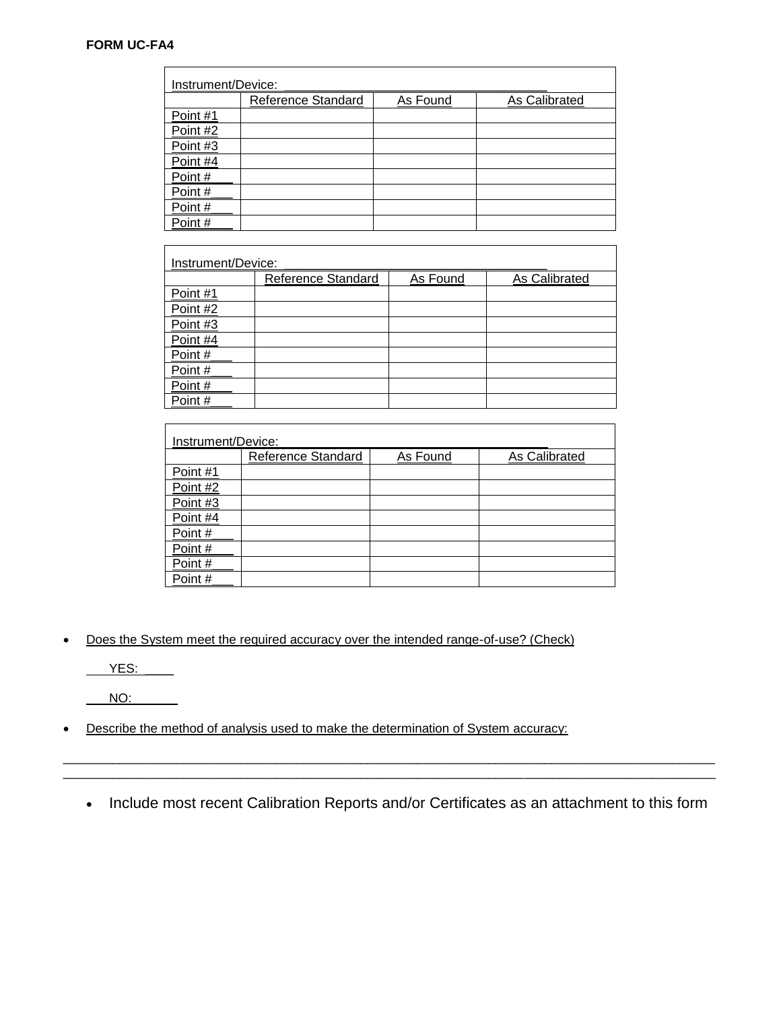## **FORM UC-FA4**

| Instrument/Device: |                    |          |               |
|--------------------|--------------------|----------|---------------|
|                    | Reference Standard | As Found | As Calibrated |
| Point #1           |                    |          |               |
| Point #2           |                    |          |               |
| Point #3           |                    |          |               |
| Point #4           |                    |          |               |
| Point#             |                    |          |               |
| Point#             |                    |          |               |
| Point#             |                    |          |               |
| Point#             |                    |          |               |

| Instrument/Device: |                    |          |               |
|--------------------|--------------------|----------|---------------|
|                    | Reference Standard | As Found | As Calibrated |
| Point #1           |                    |          |               |
| Point #2           |                    |          |               |
| Point #3           |                    |          |               |
| Point #4           |                    |          |               |
| Point#             |                    |          |               |
| Point#             |                    |          |               |
| Point#             |                    |          |               |
| Point#             |                    |          |               |

| Instrument/Device: |                    |          |               |
|--------------------|--------------------|----------|---------------|
|                    | Reference Standard | As Found | As Calibrated |
| Point #1           |                    |          |               |
| Point #2           |                    |          |               |
| Point #3           |                    |          |               |
| Point #4           |                    |          |               |
| Point#             |                    |          |               |
| Point#             |                    |          |               |
| Point#             |                    |          |               |
| Point#             |                    |          |               |

Does the System meet the required accuracy over the intended range-of-use? (Check)

 $YES:$ 

NO: \_\_\_\_\_\_

Describe the method of analysis used to make the determination of System accuracy:

• Include most recent Calibration Reports and/or Certificates as an attachment to this form

\_\_\_\_\_\_\_\_\_\_\_\_\_\_\_\_\_\_\_\_\_\_\_\_\_\_\_\_\_\_\_\_\_\_\_\_\_\_\_\_\_\_\_\_\_\_\_\_\_\_\_\_\_\_\_\_\_\_\_\_\_\_\_\_\_\_\_\_\_\_\_\_\_\_\_\_\_\_\_\_\_\_\_\_\_\_\_\_\_\_\_\_ \_\_\_\_\_\_\_\_\_\_\_\_\_\_\_\_\_\_\_\_\_\_\_\_\_\_\_\_\_\_\_\_\_\_\_\_\_\_\_\_\_\_\_\_\_\_\_\_\_\_\_\_\_\_\_\_\_\_\_\_\_\_\_\_\_\_\_\_\_\_\_\_\_\_\_\_\_\_\_\_\_\_\_\_\_\_\_\_\_\_\_\_